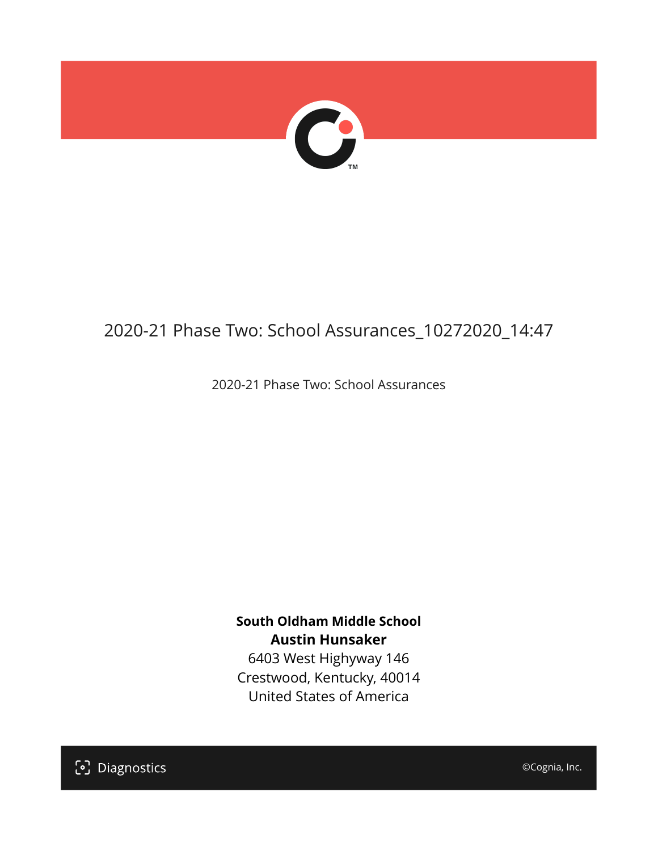

# 2020-21 Phase Two: School Assurances\_10272020\_14:47

2020-21 Phase Two: School Assurances

**South Oldham Middle School Austin Hunsaker** 6403 West Highyway 146

Crestwood, Kentucky, 40014 United States of America

[၁] Diagnostics

©Cognia, Inc.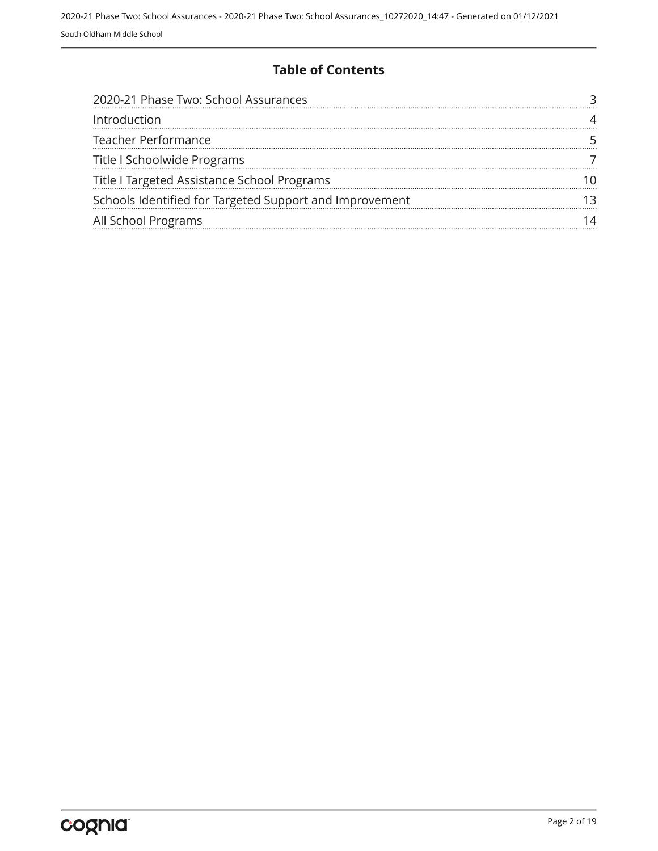#### **Table of Contents**

| 2020-21 Phase Two: School Assurances                    |  |
|---------------------------------------------------------|--|
| Introduction                                            |  |
| Teacher Performance                                     |  |
| Title I Schoolwide Programs                             |  |
| Title I Targeted Assistance School Programs             |  |
| Schools Identified for Targeted Support and Improvement |  |
| All School Programs                                     |  |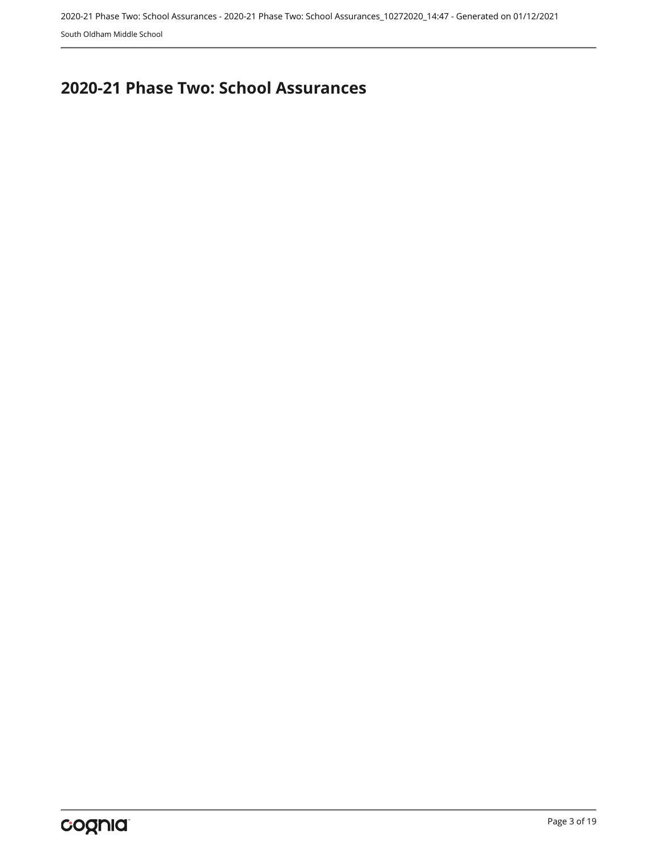## <span id="page-2-0"></span>**2020-21 Phase Two: School Assurances**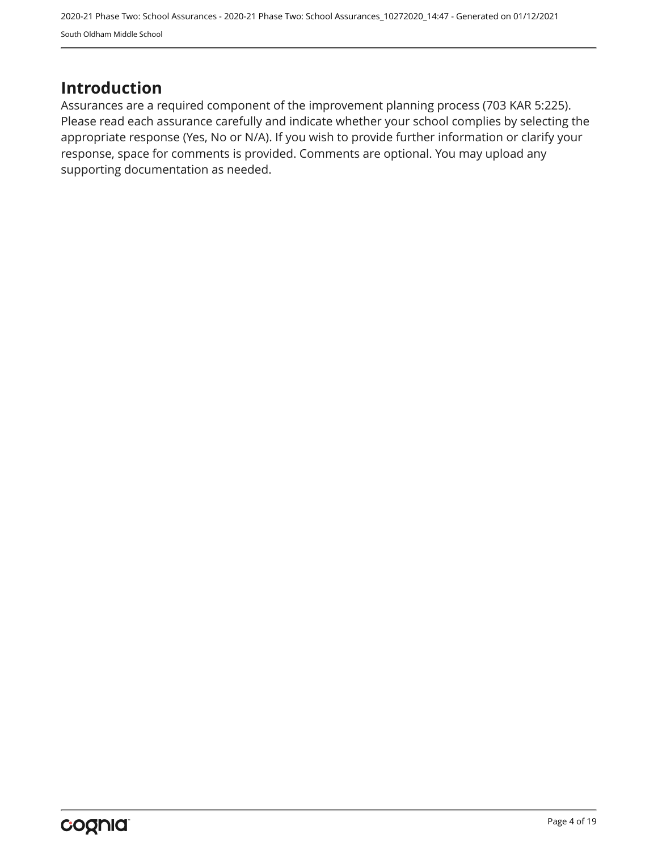## <span id="page-3-0"></span>**Introduction**

Assurances are a required component of the improvement planning process (703 KAR 5:225). Please read each assurance carefully and indicate whether your school complies by selecting the appropriate response (Yes, No or N/A). If you wish to provide further information or clarify your response, space for comments is provided. Comments are optional. You may upload any supporting documentation as needed.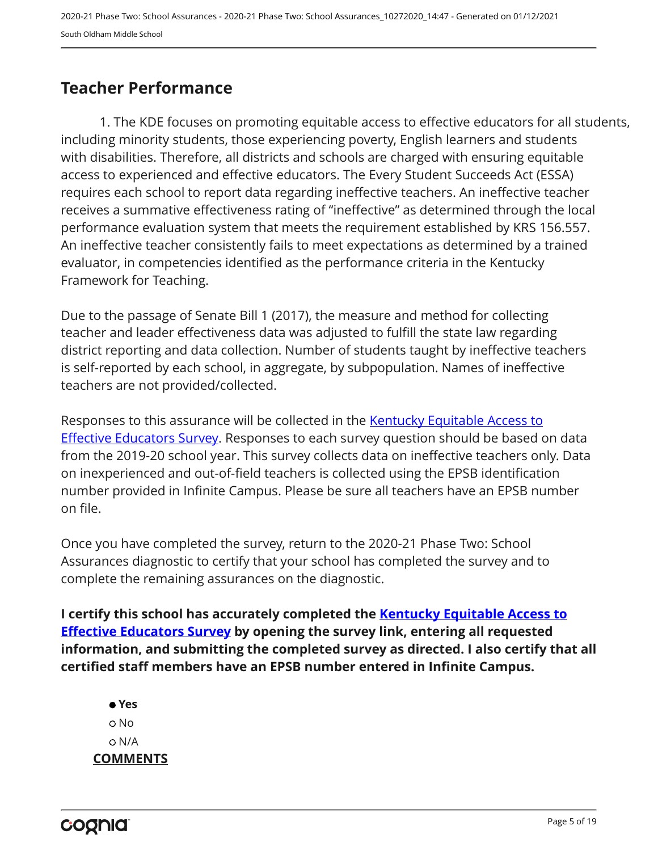## <span id="page-4-0"></span>**Teacher Performance**

1. The KDE focuses on promoting equitable access to effective educators for all students, including minority students, those experiencing poverty, English learners and students with disabilities. Therefore, all districts and schools are charged with ensuring equitable access to experienced and effective educators. The Every Student Succeeds Act (ESSA) requires each school to report data regarding ineffective teachers. An ineffective teacher receives a summative effectiveness rating of "ineffective" as determined through the local performance evaluation system that meets the requirement established by KRS 156.557. An ineffective teacher consistently fails to meet expectations as determined by a trained evaluator, in competencies identified as the performance criteria in the Kentucky Framework for Teaching.

Due to the passage of Senate Bill 1 (2017), the measure and method for collecting teacher and leader effectiveness data was adjusted to fulfill the state law regarding district reporting and data collection. Number of students taught by ineffective teachers is self-reported by each school, in aggregate, by subpopulation. Names of ineffective teachers are not provided/collected.

Responses to this assurance will be collected in the [Kentucky Equitable Access to](https://www.surveymonkey.com/r/PNPMCCV) **[Effective Educators Survey](https://www.surveymonkey.com/r/PNPMCCV).** Responses to each survey question should be based on data from the 2019-20 school year. This survey collects data on ineffective teachers only. Data on inexperienced and out-of-field teachers is collected using the EPSB identification number provided in Infinite Campus. Please be sure all teachers have an EPSB number on file.

Once you have completed the survey, return to the 2020-21 Phase Two: School Assurances diagnostic to certify that your school has completed the survey and to complete the remaining assurances on the diagnostic.

**I certify this school has accurately completed the [Kentucky Equitable Access to](https://www.surveymonkey.com/r/PNPMCCV) [Effective Educators Survey](https://www.surveymonkey.com/r/PNPMCCV) by opening the survey link, entering all requested information, and submitting the completed survey as directed. I also certify that all certified staff members have an EPSB number entered in Infinite Campus.**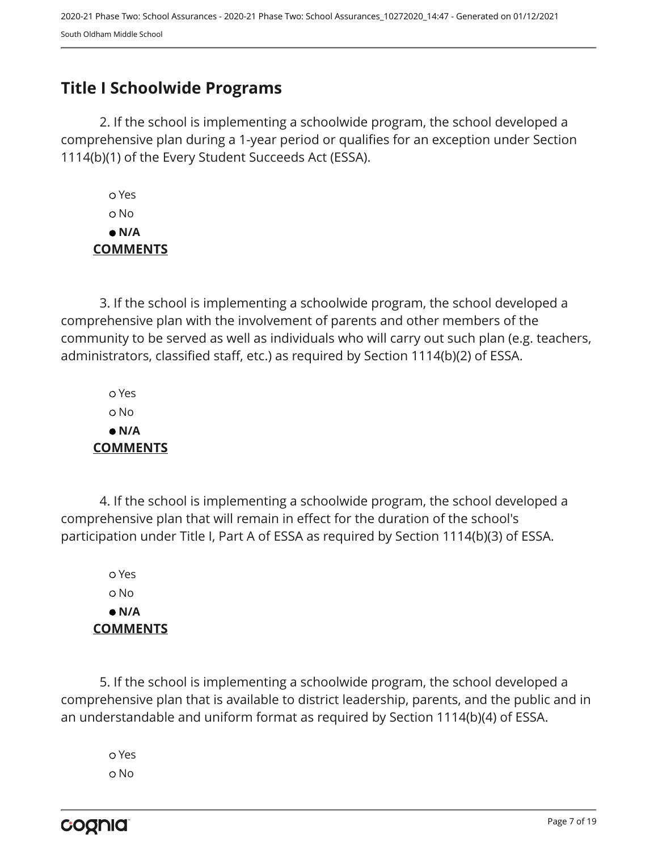## <span id="page-6-0"></span>**Title I Schoolwide Programs**

2. If the school is implementing a schoolwide program, the school developed a comprehensive plan during a 1-year period or qualifies for an exception under Section 1114(b)(1) of the Every Student Succeeds Act (ESSA).

 Yes No  **N/A COMMENTS**

3. If the school is implementing a schoolwide program, the school developed a comprehensive plan with the involvement of parents and other members of the community to be served as well as individuals who will carry out such plan (e.g. teachers, administrators, classified staff, etc.) as required by Section 1114(b)(2) of ESSA.

 Yes No  **N/A COMMENTS**

4. If the school is implementing a schoolwide program, the school developed a comprehensive plan that will remain in effect for the duration of the school's participation under Title I, Part A of ESSA as required by Section 1114(b)(3) of ESSA.

 Yes No  **N/A COMMENTS**

5. If the school is implementing a schoolwide program, the school developed a comprehensive plan that is available to district leadership, parents, and the public and in an understandable and uniform format as required by Section 1114(b)(4) of ESSA.

 Yes o No

cognia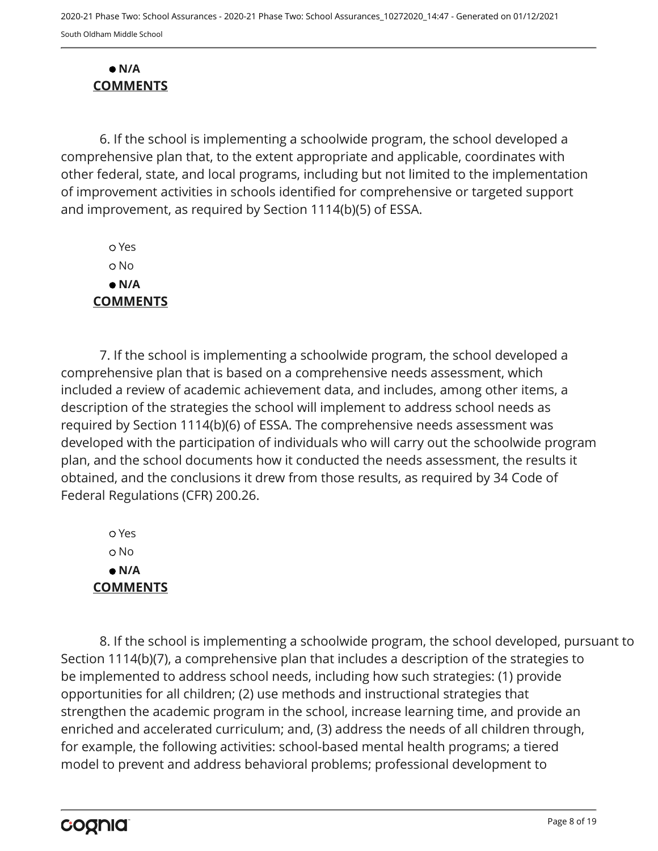#### **N/A COMMENTS**

6. If the school is implementing a schoolwide program, the school developed a comprehensive plan that, to the extent appropriate and applicable, coordinates with other federal, state, and local programs, including but not limited to the implementation of improvement activities in schools identified for comprehensive or targeted support and improvement, as required by Section 1114(b)(5) of ESSA.

 Yes No  **N/A COMMENTS**

7. If the school is implementing a schoolwide program, the school developed a comprehensive plan that is based on a comprehensive needs assessment, which included a review of academic achievement data, and includes, among other items, a description of the strategies the school will implement to address school needs as required by Section 1114(b)(6) of ESSA. The comprehensive needs assessment was developed with the participation of individuals who will carry out the schoolwide program plan, and the school documents how it conducted the needs assessment, the results it obtained, and the conclusions it drew from those results, as required by 34 Code of Federal Regulations (CFR) 200.26.

 Yes o No  **N/A COMMENTS**

8. If the school is implementing a schoolwide program, the school developed, pursuant to Section 1114(b)(7), a comprehensive plan that includes a description of the strategies to be implemented to address school needs, including how such strategies: (1) provide opportunities for all children; (2) use methods and instructional strategies that strengthen the academic program in the school, increase learning time, and provide an enriched and accelerated curriculum; and, (3) address the needs of all children through, for example, the following activities: school-based mental health programs; a tiered model to prevent and address behavioral problems; professional development to

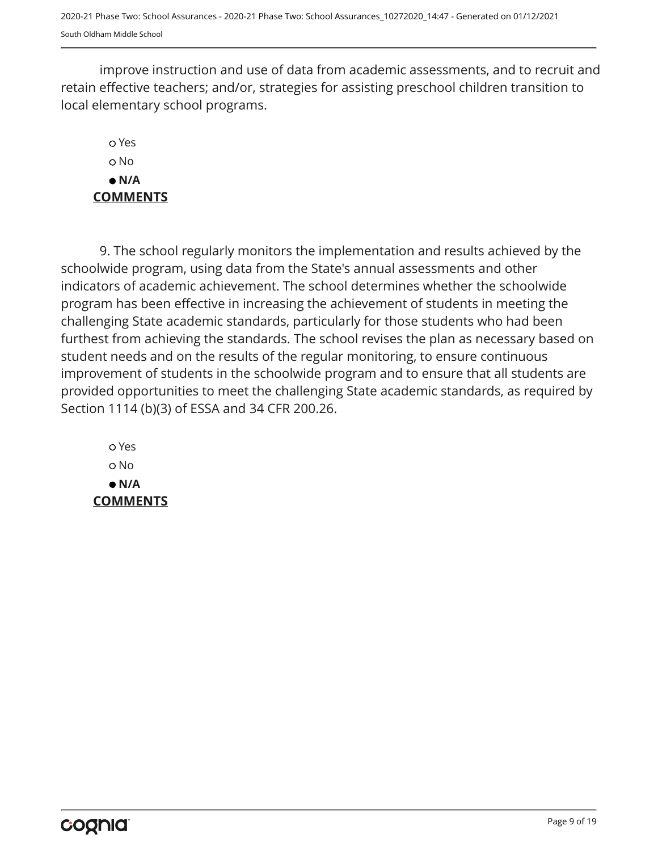improve instruction and use of data from academic assessments, and to recruit and retain effective teachers; and/or, strategies for assisting preschool children transition to local elementary school programs.

### Yes o No  **N/A COMMENTS**

9. The school regularly monitors the implementation and results achieved by the schoolwide program, using data from the State's annual assessments and other indicators of academic achievement. The school determines whether the schoolwide program has been effective in increasing the achievement of students in meeting the challenging State academic standards, particularly for those students who had been furthest from achieving the standards. The school revises the plan as necessary based on student needs and on the results of the regular monitoring, to ensure continuous improvement of students in the schoolwide program and to ensure that all students are provided opportunities to meet the challenging State academic standards, as required by Section 1114 (b)(3) of ESSA and 34 CFR 200.26.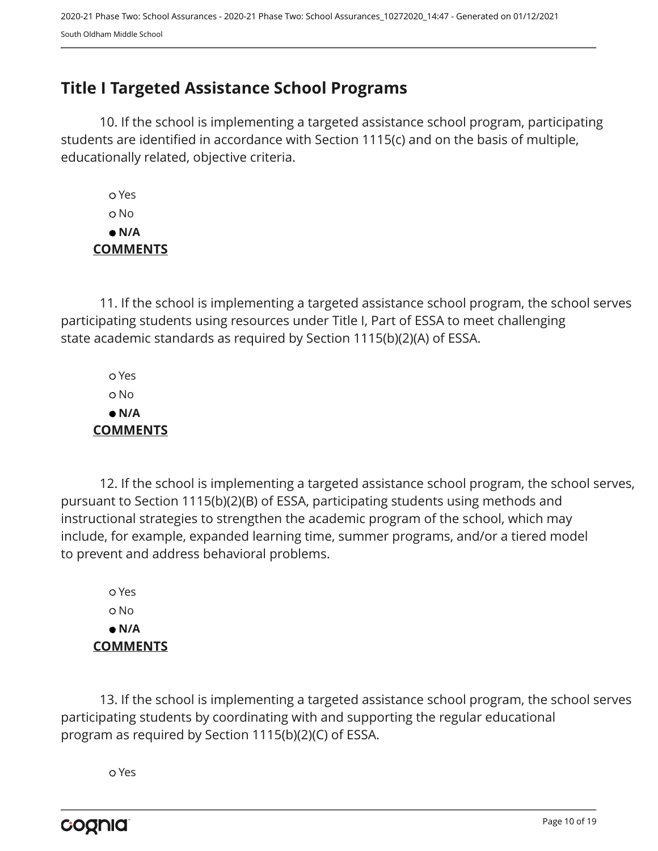## <span id="page-9-0"></span>**Title I Targeted Assistance School Programs**

10. If the school is implementing a targeted assistance school program, participating students are identified in accordance with Section 1115(c) and on the basis of multiple, educationally related, objective criteria.

 Yes No  **N/A COMMENTS**

11. If the school is implementing a targeted assistance school program, the school serves participating students using resources under Title I, Part of ESSA to meet challenging state academic standards as required by Section 1115(b)(2)(A) of ESSA.

 Yes No  **N/A COMMENTS**

12. If the school is implementing a targeted assistance school program, the school serves, pursuant to Section 1115(b)(2)(B) of ESSA, participating students using methods and instructional strategies to strengthen the academic program of the school, which may include, for example, expanded learning time, summer programs, and/or a tiered model to prevent and address behavioral problems.

 Yes o No  **N/A COMMENTS**

13. If the school is implementing a targeted assistance school program, the school serves participating students by coordinating with and supporting the regular educational program as required by Section 1115(b)(2)(C) of ESSA.

Yes

cognia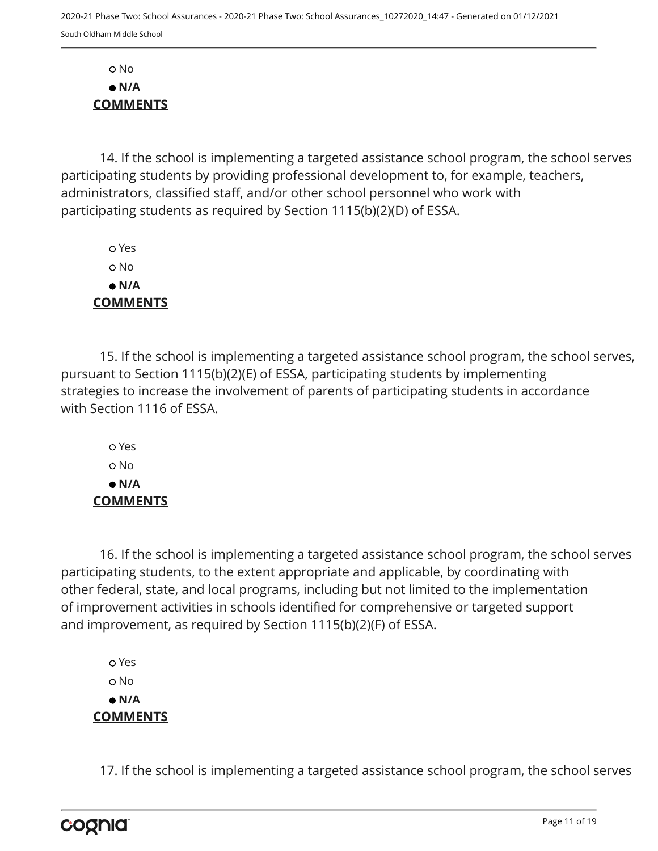No  **N/A COMMENTS**

14. If the school is implementing a targeted assistance school program, the school serves participating students by providing professional development to, for example, teachers, administrators, classified staff, and/or other school personnel who work with participating students as required by Section 1115(b)(2)(D) of ESSA.

 Yes o No  **N/A COMMENTS**

15. If the school is implementing a targeted assistance school program, the school serves, pursuant to Section 1115(b)(2)(E) of ESSA, participating students by implementing strategies to increase the involvement of parents of participating students in accordance with Section 1116 of ESSA.

 Yes o No  **N/A COMMENTS**

16. If the school is implementing a targeted assistance school program, the school serves participating students, to the extent appropriate and applicable, by coordinating with other federal, state, and local programs, including but not limited to the implementation of improvement activities in schools identified for comprehensive or targeted support and improvement, as required by Section 1115(b)(2)(F) of ESSA.

 Yes o No  **N/A COMMENTS**

17. If the school is implementing a targeted assistance school program, the school serves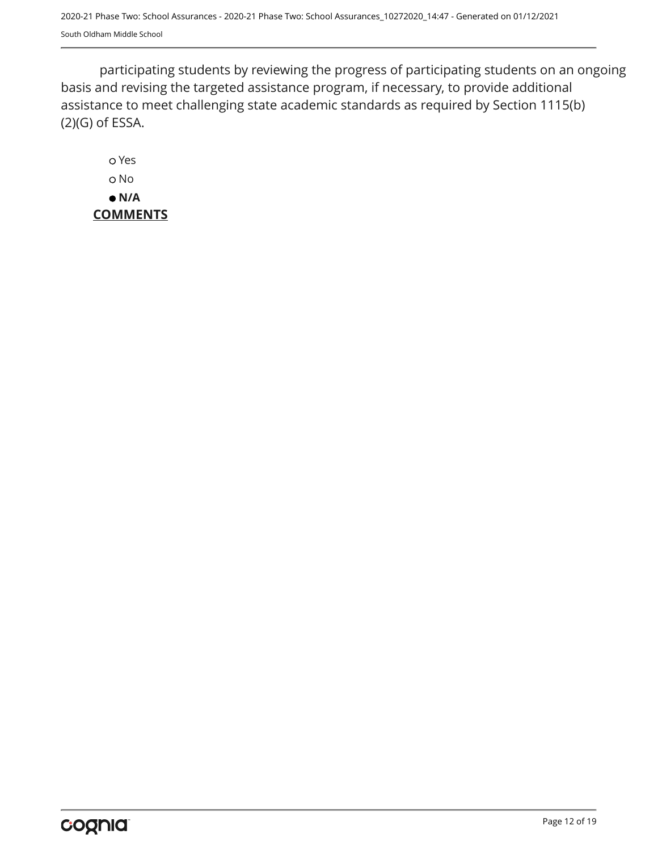participating students by reviewing the progress of participating students on an ongoing basis and revising the targeted assistance program, if necessary, to provide additional assistance to meet challenging state academic standards as required by Section 1115(b) (2)(G) of ESSA.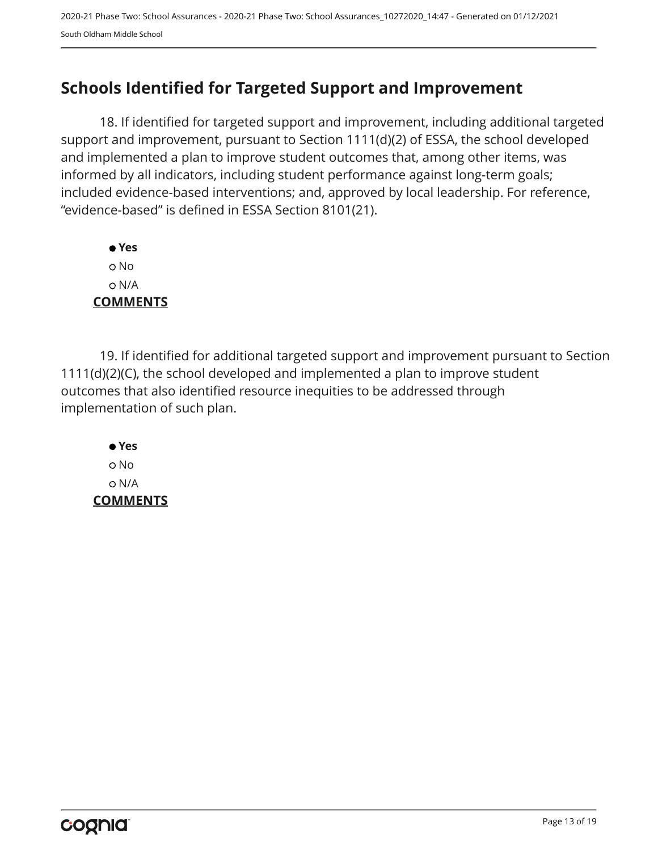## <span id="page-12-0"></span>**Schools Identified for Targeted Support and Improvement**

18. If identified for targeted support and improvement, including additional targeted support and improvement, pursuant to Section 1111(d)(2) of ESSA, the school developed and implemented a plan to improve student outcomes that, among other items, was informed by all indicators, including student performance against long-term goals; included evidence-based interventions; and, approved by local leadership. For reference, "evidence-based" is defined in ESSA Section 8101(21).

 **Yes** No N/A **COMMENTS**

19. If identified for additional targeted support and improvement pursuant to Section 1111(d)(2)(C), the school developed and implemented a plan to improve student outcomes that also identified resource inequities to be addressed through implementation of such plan.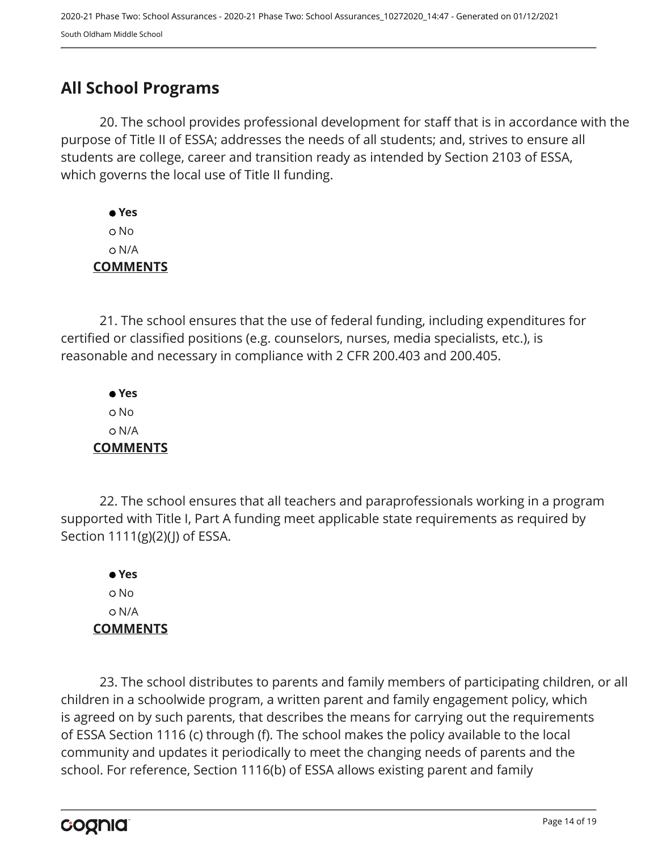## <span id="page-13-0"></span>**All School Programs**

20. The school provides professional development for staff that is in accordance with the purpose of Title II of ESSA; addresses the needs of all students; and, strives to ensure all students are college, career and transition ready as intended by Section 2103 of ESSA, which governs the local use of Title II funding.

 **Yes** No N/A **COMMENTS**

21. The school ensures that the use of federal funding, including expenditures for certified or classified positions (e.g. counselors, nurses, media specialists, etc.), is reasonable and necessary in compliance with 2 CFR 200.403 and 200.405.

 **Yes** No N/A **COMMENTS**

22. The school ensures that all teachers and paraprofessionals working in a program supported with Title I, Part A funding meet applicable state requirements as required by Section 1111(g)(2)(J) of ESSA.

 **Yes** No N/A **COMMENTS**

23. The school distributes to parents and family members of participating children, or all children in a schoolwide program, a written parent and family engagement policy, which is agreed on by such parents, that describes the means for carrying out the requirements of ESSA Section 1116 (c) through (f). The school makes the policy available to the local community and updates it periodically to meet the changing needs of parents and the school. For reference, Section 1116(b) of ESSA allows existing parent and family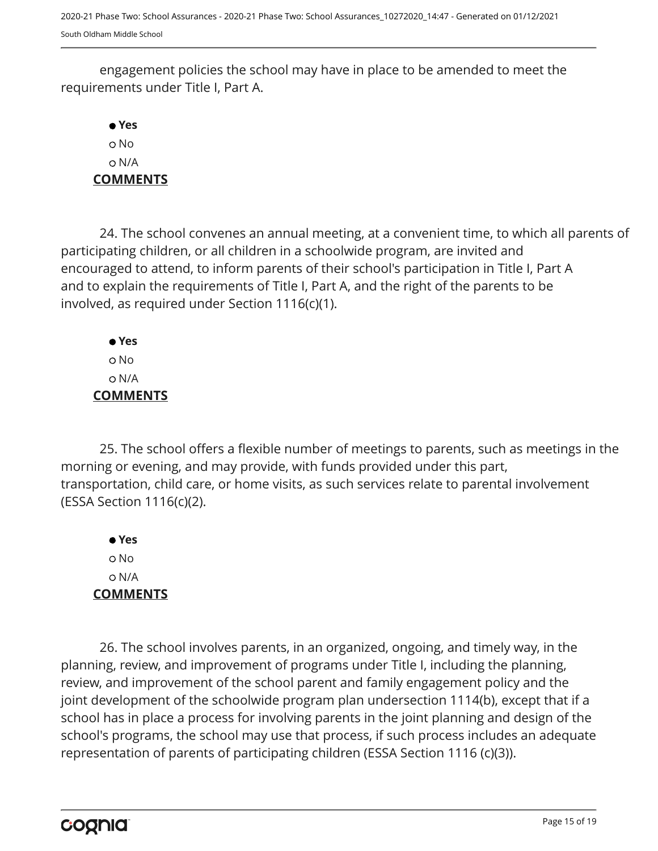engagement policies the school may have in place to be amended to meet the requirements under Title I, Part A.

 **Yes** No N/A **COMMENTS**

24. The school convenes an annual meeting, at a convenient time, to which all parents of participating children, or all children in a schoolwide program, are invited and encouraged to attend, to inform parents of their school's participation in Title I, Part A and to explain the requirements of Title I, Part A, and the right of the parents to be involved, as required under Section 1116(c)(1).

 **Yes** No N/A **COMMENTS**

25. The school offers a flexible number of meetings to parents, such as meetings in the morning or evening, and may provide, with funds provided under this part, transportation, child care, or home visits, as such services relate to parental involvement (ESSA Section 1116(c)(2).

 **Yes** No N/A **COMMENTS**

26. The school involves parents, in an organized, ongoing, and timely way, in the planning, review, and improvement of programs under Title I, including the planning, review, and improvement of the school parent and family engagement policy and the joint development of the schoolwide program plan undersection 1114(b), except that if a school has in place a process for involving parents in the joint planning and design of the school's programs, the school may use that process, if such process includes an adequate representation of parents of participating children (ESSA Section 1116 (c)(3)).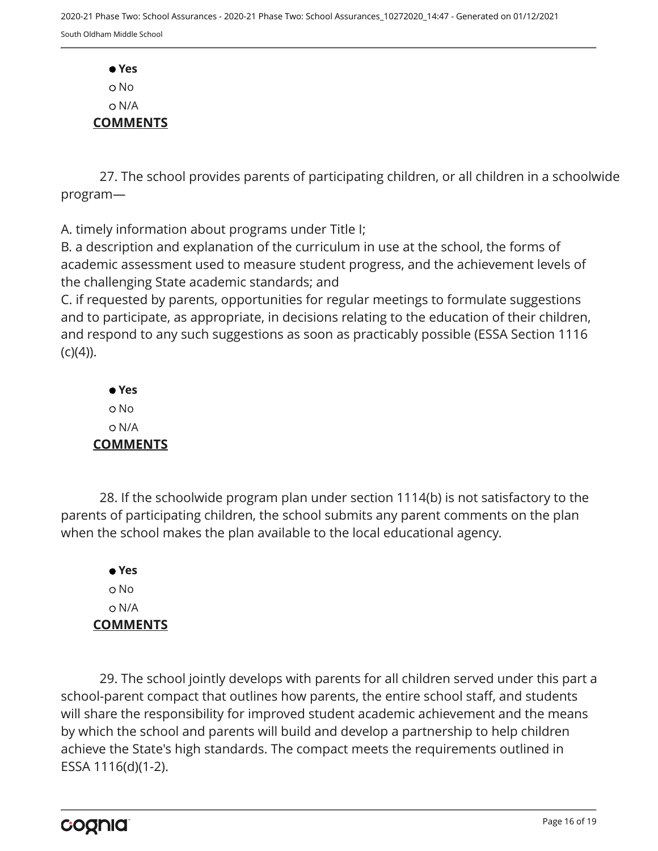**Yes** o No N/A **COMMENTS**

27. The school provides parents of participating children, or all children in a schoolwide program—

A. timely information about programs under Title I;

B. a description and explanation of the curriculum in use at the school, the forms of academic assessment used to measure student progress, and the achievement levels of the challenging State academic standards; and

C. if requested by parents, opportunities for regular meetings to formulate suggestions and to participate, as appropriate, in decisions relating to the education of their children, and respond to any such suggestions as soon as practicably possible (ESSA Section 1116  $(C)(4)$ ).

 **Yes** No N/A **COMMENTS**

28. If the schoolwide program plan under section 1114(b) is not satisfactory to the parents of participating children, the school submits any parent comments on the plan when the school makes the plan available to the local educational agency.

 **Yes** o No N/A **COMMENTS**

29. The school jointly develops with parents for all children served under this part a school-parent compact that outlines how parents, the entire school staff, and students will share the responsibility for improved student academic achievement and the means by which the school and parents will build and develop a partnership to help children achieve the State's high standards. The compact meets the requirements outlined in ESSA 1116(d)(1-2).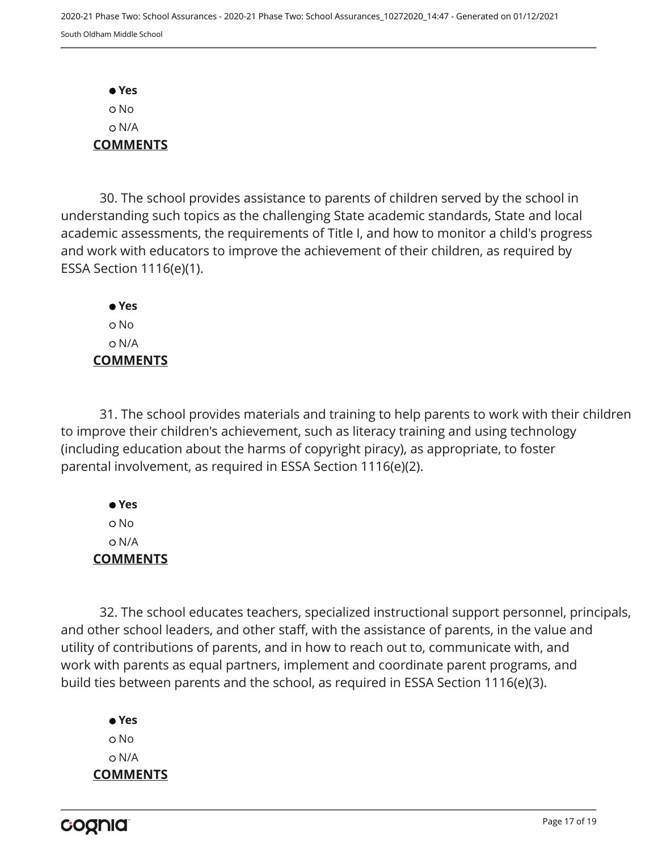**Yes** No N/A **COMMENTS**

30. The school provides assistance to parents of children served by the school in understanding such topics as the challenging State academic standards, State and local academic assessments, the requirements of Title I, and how to monitor a child's progress and work with educators to improve the achievement of their children, as required by ESSA Section 1116(e)(1).

 **Yes** o No N/A **COMMENTS**

31. The school provides materials and training to help parents to work with their children to improve their children's achievement, such as literacy training and using technology (including education about the harms of copyright piracy), as appropriate, to foster parental involvement, as required in ESSA Section 1116(e)(2).

 **Yes** No N/A **COMMENTS**

32. The school educates teachers, specialized instructional support personnel, principals, and other school leaders, and other staff, with the assistance of parents, in the value and utility of contributions of parents, and in how to reach out to, communicate with, and work with parents as equal partners, implement and coordinate parent programs, and build ties between parents and the school, as required in ESSA Section 1116(e)(3).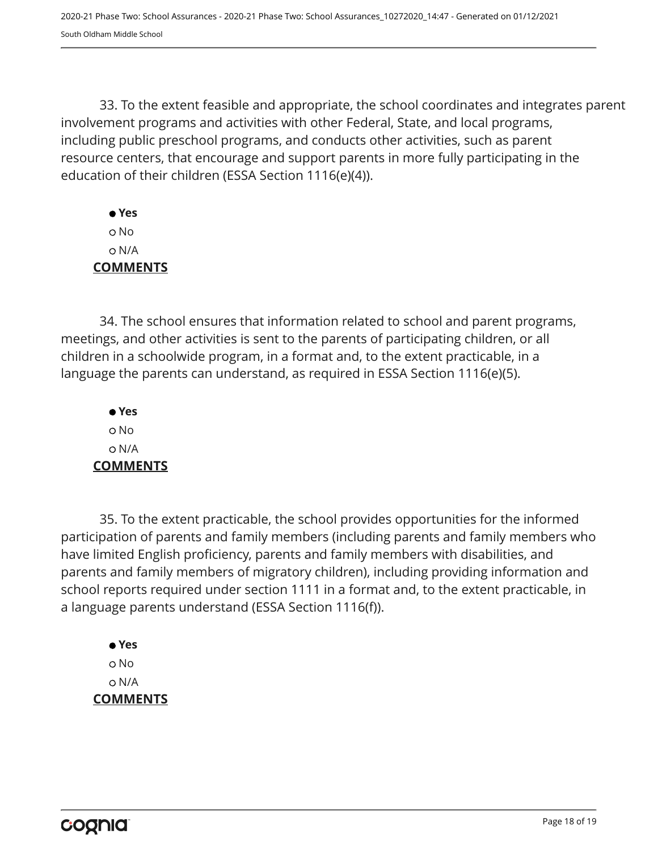33. To the extent feasible and appropriate, the school coordinates and integrates parent involvement programs and activities with other Federal, State, and local programs, including public preschool programs, and conducts other activities, such as parent resource centers, that encourage and support parents in more fully participating in the education of their children (ESSA Section 1116(e)(4)).

 **Yes** No N/A **COMMENTS**

34. The school ensures that information related to school and parent programs, meetings, and other activities is sent to the parents of participating children, or all children in a schoolwide program, in a format and, to the extent practicable, in a language the parents can understand, as required in ESSA Section 1116(e)(5).

 **Yes** o No N/A **COMMENTS**

35. To the extent practicable, the school provides opportunities for the informed participation of parents and family members (including parents and family members who have limited English proficiency, parents and family members with disabilities, and parents and family members of migratory children), including providing information and school reports required under section 1111 in a format and, to the extent practicable, in a language parents understand (ESSA Section 1116(f)).